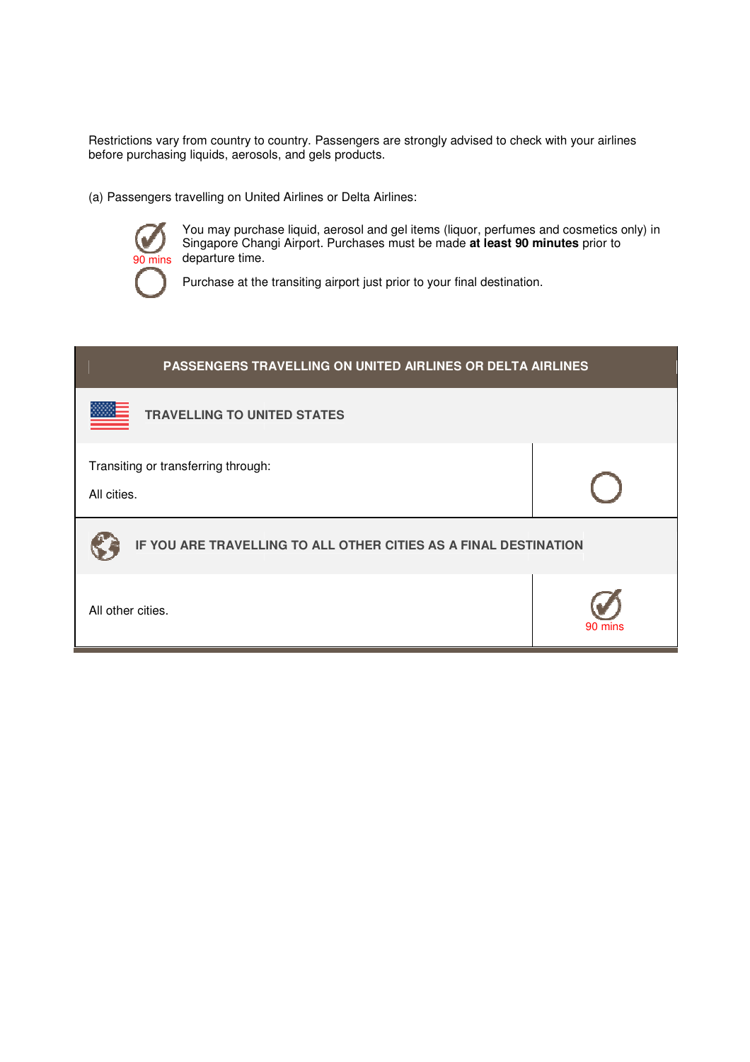Restrictions vary from country to country. Passengers are strongly advised to check with your airlines before purchasing liquids, aerosols, and gels pr products.

(a) Passengers travelling on United Airlines or Delta Airlines:



) Passengers travelling on United Airlines or Delta Airlines:<br>You may purchase liquid, aerosol and gel items (liquor, perfumes and cosmetics only) in Singapore Changi Airport. Purchases must be made at least 90 minutes prior to departure time.

Purchase at the transiting airport just prior to your final destination.